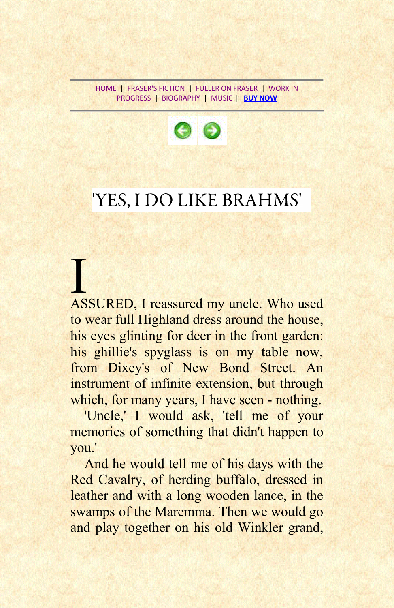[HOME](../index.htm) | [FRASER'S FICTION](http://www.johnfraserfiction.com/fraser_fiction.htm) | [FULLER ON FRASER](http://www.johnfuller-poet.com/johnfraser.htm) | [WORK IN](http://www.johnfraserfiction.com/wip.htm)  [PROGRESS](http://www.johnfraserfiction.com/wip.htm) | [BIOGRAPHY](http://www.johnfraserfiction.com/biog.htm) | [MUSIC](http://www.johnfraserfiction.com/concerts.htm) | **[BUY NOW](http://www.aesopbooks.com/modern.htm#blackmasks)**



## 'YES, I DO LIKE BRAHMS'

I ASSURED, I reassured my uncle. Who used to wear full Highland dress around the house, his eyes glinting for deer in the front garden: his ghillie's spyglass is on my table now, from Dixey's of New Bond Street. An instrument of infinite extension, but through which, for many years, I have seen - nothing.

'Uncle,' I would ask, 'tell me of your memories of something that didn't happen to you.'

And he would tell me of his days with the Red Cavalry, of herding buffalo, dressed in leather and with a long wooden lance, in the swamps of the Maremma. Then we would go and play together on his old Winkler grand,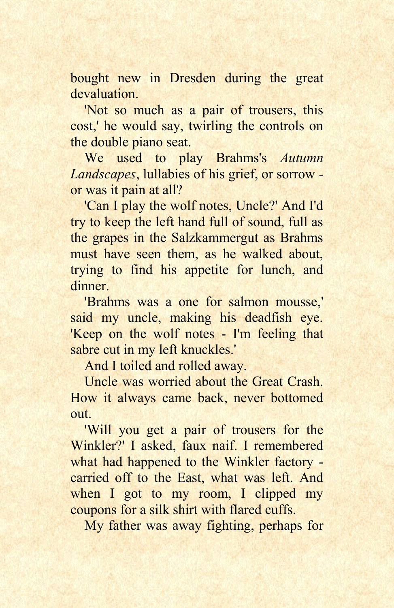bought new in Dresden during the great devaluation.

'Not so much as a pair of trousers, this cost,' he would say, twirling the controls on the double piano seat.

We used to play Brahms's *Autumn Landscapes*, lullabies of his grief, or sorrow or was it pain at all?

'Can I play the wolf notes, Uncle?' And I'd try to keep the left hand full of sound, full as the grapes in the Salzkammergut as Brahms must have seen them, as he walked about, trying to find his appetite for lunch, and dinner.

'Brahms was a one for salmon mousse,' said my uncle, making his deadfish eye. 'Keep on the wolf notes - I'm feeling that sabre cut in my left knuckles.'

And I toiled and rolled away.

Uncle was worried about the Great Crash. How it always came back, never bottomed out.

'Will you get a pair of trousers for the Winkler?' I asked, faux naif. I remembered what had happened to the Winkler factory carried off to the East, what was left. And when I got to my room, I clipped my coupons for a silk shirt with flared cuffs.

My father was away fighting, perhaps for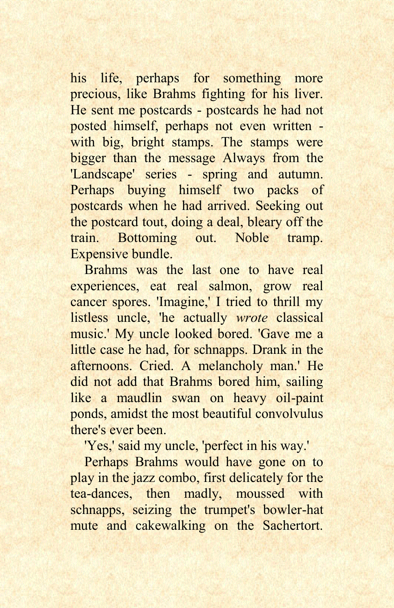his life, perhaps for something more precious, like Brahms fighting for his liver. He sent me postcards - postcards he had not posted himself, perhaps not even written with big, bright stamps. The stamps were bigger than the message Always from the 'Landscape' series - spring and autumn. Perhaps buying himself two packs of postcards when he had arrived. Seeking out the postcard tout, doing a deal, bleary off the train. Bottoming out. Noble tramp. Expensive bundle.

Brahms was the last one to have real experiences, eat real salmon, grow real cancer spores. 'Imagine,' I tried to thrill my listless uncle, 'he actually *wrote* classical music.' My uncle looked bored. 'Gave me a little case he had, for schnapps. Drank in the afternoons. Cried. A melancholy man.' He did not add that Brahms bored him, sailing like a maudlin swan on heavy oil-paint ponds, amidst the most beautiful convolvulus there's ever been.

'Yes,' said my uncle, 'perfect in his way.'

Perhaps Brahms would have gone on to play in the jazz combo, first delicately for the tea-dances, then madly, moussed with schnapps, seizing the trumpet's bowler-hat mute and cakewalking on the Sachertort.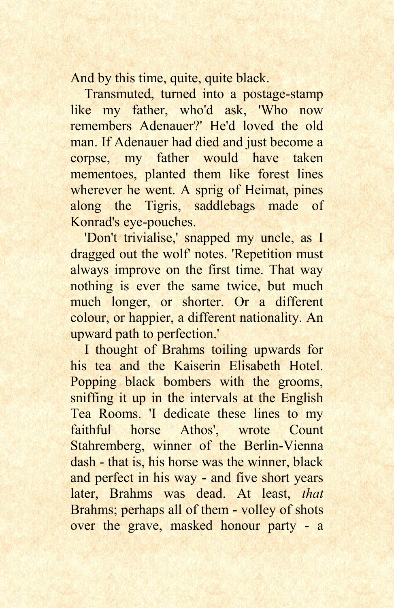And by this time, quite, quite black.

Transmuted, turned into a postage-stamp like my father, who'd ask, 'Who now remembers Adenauer?' He'd loved the old man. If Adenauer had died and just become a corpse, my father would have taken mementoes, planted them like forest lines wherever he went. A sprig of Heimat, pines along the Tigris, saddlebags made of Konrad's eye-pouches.

'Don't trivialise,' snapped my uncle, as I dragged out the wolf' notes. 'Repetition must always improve on the first time. That way nothing is ever the same twice, but much much longer, or shorter. Or a different colour, or happier, a different nationality. An upward path to perfection.'

I thought of Brahms toiling upwards for his tea and the Kaiserin Elisabeth Hotel. Popping black bombers with the grooms, sniffing it up in the intervals at the English Tea Rooms. 'I dedicate these lines to my faithful horse Athos', wrote Count Stahremberg, winner of the Berlin-Vienna dash - that is, his horse was the winner, black and perfect in his way - and five short years later, Brahms was dead. At least, *that*  Brahms; perhaps all of them - volley of shots over the grave, masked honour party - a